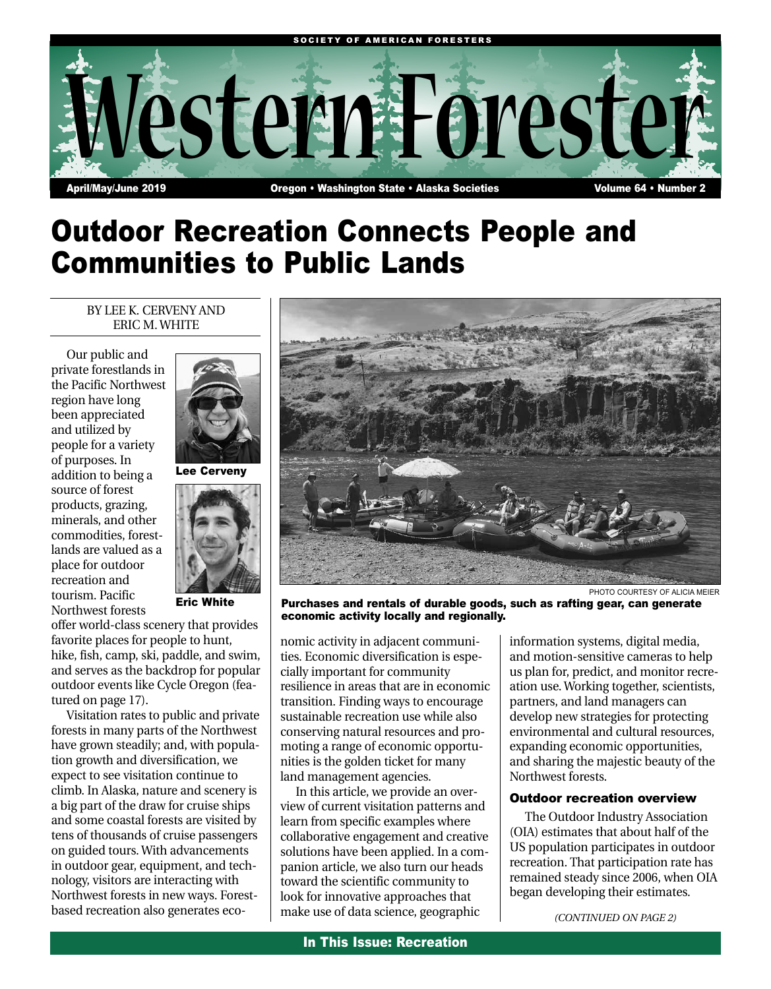

# Outdoor Recreation Connects People and Communities to Public Lands

## BY LEE K. CERVENY AND ERIC M. WHITE

Our public and private forestlands in the Pacific Northwest region have long been appreciated and utilized by people for a variety of purposes. In addition to being a source of forest products, grazing, minerals, and other commodities, forestlands are valued as a place for outdoor recreation and tourism. Pacific Northwest forests





Eric White

offer world-class scenery that provides favorite places for people to hunt, hike, fish, camp, ski, paddle, and swim, and serves as the backdrop for popular outdoor events like Cycle Oregon (featured on page 17).

Visitation rates to public and private forests in many parts of the Northwest have grown steadily; and, with population growth and diversification, we expect to see visitation continue to climb. In Alaska, nature and scenery is a big part of the draw for cruise ships and some coastal forests are visited by tens of thousands of cruise passengers on guided tours. With advancements in outdoor gear, equipment, and technology, visitors are interacting with Northwest forests in new ways. Forestbased recreation also generates eco-



PHOTO COURTESY OF ALICIA MEIER

Purchases and rentals of durable goods, such as rafting gear, can generate economic activity locally and regionally.

nomic activity in adjacent communities. Economic diversification is especially important for community resilience in areas that are in economic transition. Finding ways to encourage sustainable recreation use while also conserving natural resources and promoting a range of economic opportunities is the golden ticket for many land management agencies.

In this article, we provide an overview of current visitation patterns and learn from specific examples where collaborative engagement and creative solutions have been applied. In a companion article, we also turn our heads toward the scientific community to look for innovative approaches that make use of data science, geographic

information systems, digital media, and motion-sensitive cameras to help us plan for, predict, and monitor recreation use. Working together, scientists, partners, and land managers can develop new strategies for protecting environmental and cultural resources, expanding economic opportunities, and sharing the majestic beauty of the Northwest forests.

## Outdoor recreation overview

The Outdoor Industry Association (OIA) estimates that about half of the US population participates in outdoor recreation. That participation rate has remained steady since 2006, when OIA began developing their estimates.

*(CONTINUED ON PAGE 2)*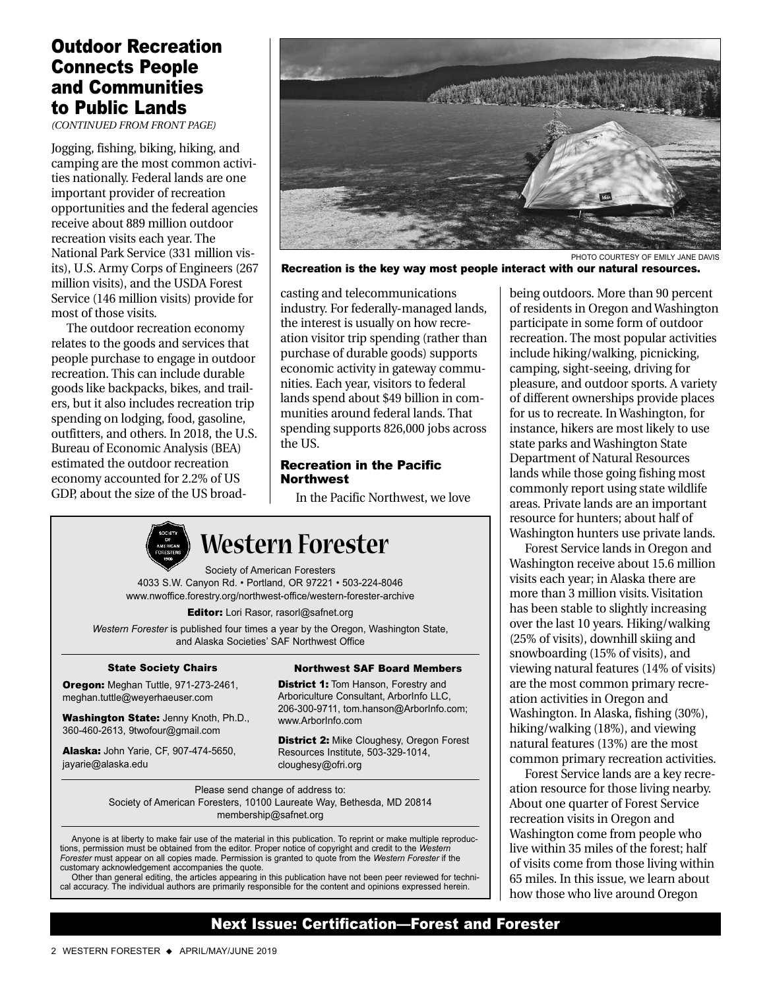# Outdoor Recreation Connects People and Communities to Public Lands

*(CONTINUED FROM FRONT PAGE)*

Jogging, fishing, biking, hiking, and camping are the most common activities nationally. Federal lands are one important provider of recreation opportunities and the federal agencies receive about 889 million outdoor recreation visits each year. The National Park Service (331 million visits), U.S. Army Corps of Engineers (267 million visits), and the USDA Forest Service (146 million visits) provide for most of those visits.

The outdoor recreation economy relates to the goods and services that people purchase to engage in outdoor recreation. This can include durable goods like backpacks, bikes, and trailers, but it also includes recreation trip spending on lodging, food, gasoline, outfitters, and others. In 2018, the U.S. Bureau of Economic Analysis (BEA) estimated the outdoor recreation economy accounted for 2.2% of US GDP, about the size of the US broad-



Recreation is the key way most people interact with our natural resources.

casting and telecommunications industry. For federally-managed lands, the interest is usually on how recreation visitor trip spending (rather than purchase of durable goods) supports economic activity in gateway communities. Each year, visitors to federal lands spend about \$49 billion in communities around federal lands. That spending supports 826,000 jobs across the US.

## Recreation in the Pacific **Northwest**

In the Pacific Northwest, we love



# **Western Forester**

Society of American Foresters 4033 S.W. Canyon Rd. • Portland, OR 97221 • 503-224-8046 www.nwoffice.forestry.org/northwest-office/western-forester-archive

Editor: Lori Rasor, rasorl@safnet.org

*Western Forester* is published four times a year by the Oregon, Washington State, and Alaska Societies' SAF Northwest Office

#### State Society Chairs

Oregon: Meghan Tuttle, 971-273-2461, meghan.tuttle@weyerhaeuser.com

Washington State: Jenny Knoth, Ph.D., 360-460-2613, 9twofour@gmail.com

Alaska: John Yarie, CF, 907-474-5650, jayarie@alaska.edu

Northwest SAF Board Members

**District 1: Tom Hanson, Forestry and** Arboriculture Consultant, ArborInfo LLC, 206-300-9711, tom.hanson@ArborInfo.com; www.ArborInfo.com

**District 2: Mike Cloughesy, Oregon Forest** Resources Institute, 503-329-1014, cloughesy@ofri.org

Please send change of address to: Society of American Foresters, 10100 Laureate Way, Bethesda, MD 20814 membership@safnet.org

Anyone is at liberty to make fair use of the material in this publication. To reprint or make multiple reproductions, permission must be obtained from the editor. Proper notice of copyright and credit to the *Western Forester* must appear on all copies made. Permission is granted to quote from the *Western Forester* if the customary acknowledgement accompanies the quote.

Other than general editing, the articles appearing in this publication have not been peer reviewed for technical accuracy. The individual authors are primarily responsible for the content and opinions expressed herein.

being outdoors. More than 90 percent of residents in Oregon and Washington participate in some form of outdoor recreation. The most popular activities include hiking/walking, picnicking, camping, sight-seeing, driving for pleasure, and outdoor sports. A variety of different ownerships provide places for us to recreate. In Washington, for instance, hikers are most likely to use state parks and Washington State Department of Natural Resources lands while those going fishing most commonly report using state wildlife areas. Private lands are an important resource for hunters; about half of Washington hunters use private lands.

Forest Service lands in Oregon and Washington receive about 15.6 million visits each year; in Alaska there are more than 3 million visits. Visitation has been stable to slightly increasing over the last 10 years. Hiking/walking (25% of visits), downhill skiing and snowboarding (15% of visits), and viewing natural features (14% of visits) are the most common primary recreation activities in Oregon and Washington. In Alaska, fishing (30%), hiking/walking (18%), and viewing natural features (13%) are the most common primary recreation activities.

Forest Service lands are a key recreation resource for those living nearby. About one quarter of Forest Service recreation visits in Oregon and Washington come from people who live within 35 miles of the forest; half of visits come from those living within 65 miles. In this issue, we learn about how those who live around Oregon

# Next Issue: Certification—Forest and Forester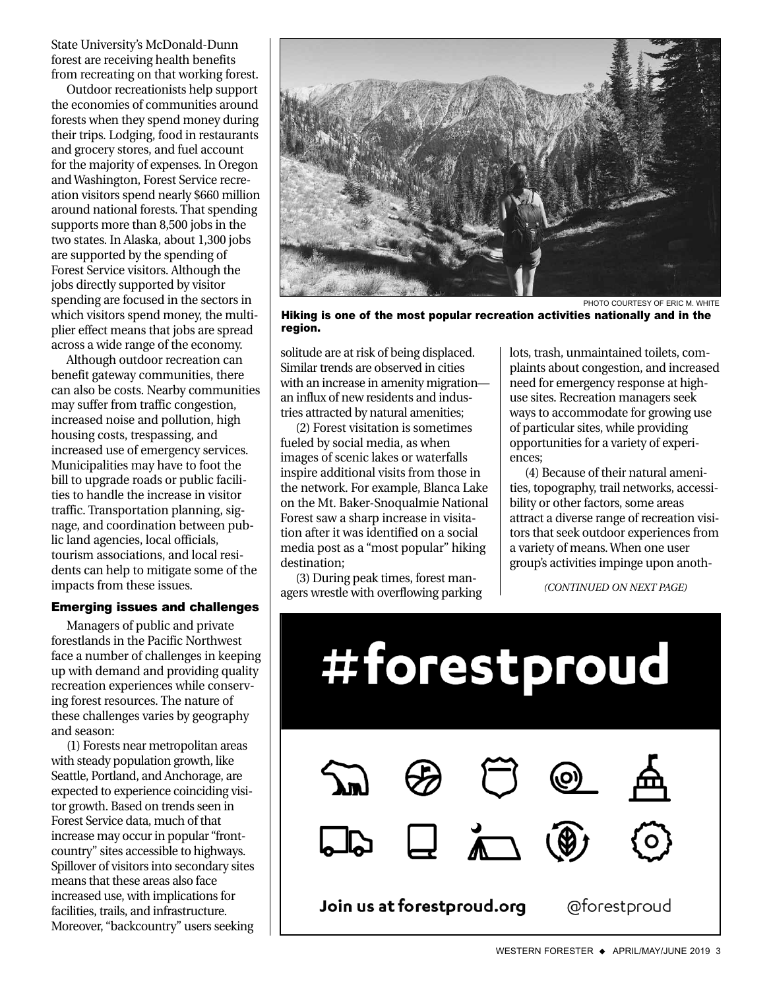State University's McDonald-Dunn forest are receiving health benefits from recreating on that working forest.

Outdoor recreationists help support the economies of communities around forests when they spend money during their trips. Lodging, food in restaurants and grocery stores, and fuel account for the majority of expenses. In Oregon and Washington, Forest Service recreation visitors spend nearly \$660 million around national forests. That spending supports more than 8,500 jobs in the two states. In Alaska, about 1,300 jobs are supported by the spending of Forest Service visitors. Although the jobs directly supported by visitor spending are focused in the sectors in which visitors spend money, the multiplier effect means that jobs are spread across a wide range of the economy.

Although outdoor recreation can benefit gateway communities, there can also be costs. Nearby communities may suffer from traffic congestion, increased noise and pollution, high housing costs, trespassing, and increased use of emergency services. Municipalities may have to foot the bill to upgrade roads or public facilities to handle the increase in visitor traffic. Transportation planning, signage, and coordination between public land agencies, local officials, tourism associations, and local residents can help to mitigate some of the impacts from these issues.

### Emerging issues and challenges

Managers of public and private forestlands in the Pacific Northwest face a number of challenges in keeping up with demand and providing quality recreation experiences while conserving forest resources. The nature of these challenges varies by geography and season:

(1) Forests near metropolitan areas with steady population growth, like Seattle, Portland, and Anchorage, are expected to experience coinciding visitor growth. Based on trends seen in Forest Service data, much of that increase may occur in popular "frontcountry" sites accessible to highways. Spillover of visitors into secondary sites means that these areas also face increased use, with implications for facilities, trails, and infrastructure. Moreover, "backcountry" users seeking



PHOTO COURTESY OF ERIC M. WHITE

Hiking is one of the most popular recreation activities nationally and in the region.

solitude are at risk of being displaced. Similar trends are observed in cities with an increase in amenity migration an influx of new residents and industries attracted by natural amenities;

(2) Forest visitation is sometimes fueled by social media, as when images of scenic lakes or waterfalls inspire additional visits from those in the network. For example, Blanca Lake on the Mt. Baker-Snoqualmie National Forest saw a sharp increase in visitation after it was identified on a social media post as a "most popular" hiking destination;

(3) During peak times, forest managers wrestle with overflowing parking

lots, trash, unmaintained toilets, complaints about congestion, and increased need for emergency response at highuse sites. Recreation managers seek ways to accommodate for growing use of particular sites, while providing opportunities for a variety of experiences;

(4) Because of their natural amenities, topography, trail networks, accessibility or other factors, some areas attract a diverse range of recreation visitors that seek outdoor experiences from a variety of means. When one user group's activities impinge upon anoth-

*(CONTINUED ON NEXT PAGE)*

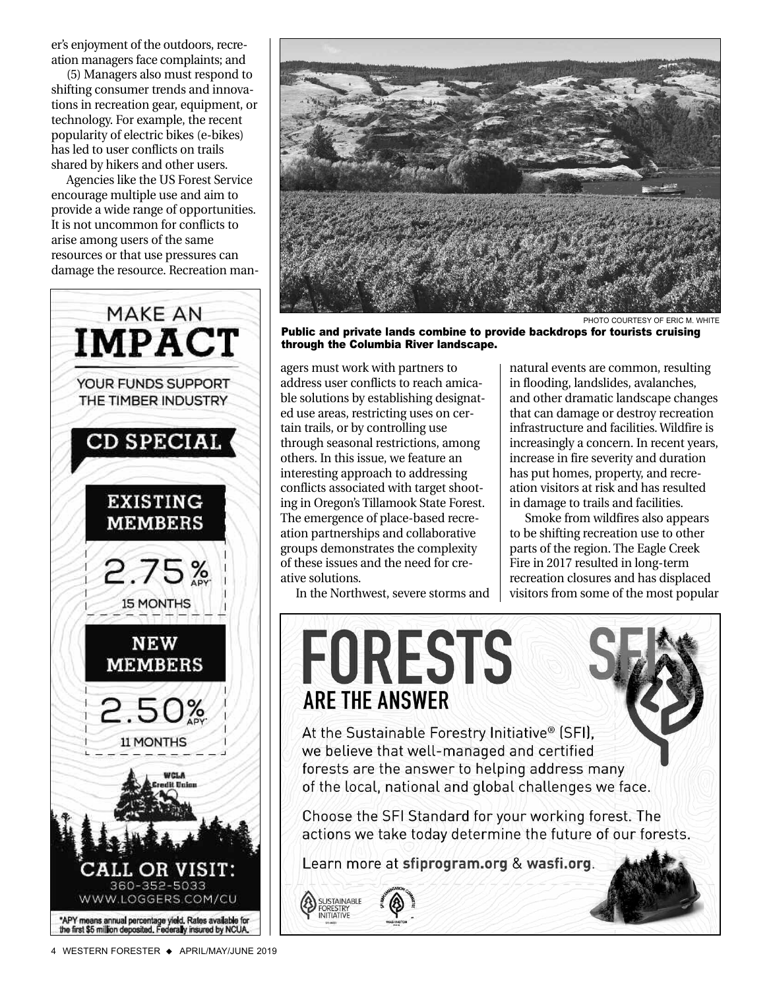er's enjoyment of the outdoors, recreation managers face complaints; and

(5) Managers also must respond to shifting consumer trends and innovations in recreation gear, equipment, or technology. For example, the recent popularity of electric bikes (e-bikes) has led to user conflicts on trails shared by hikers and other users.

Agencies like the US Forest Service encourage multiple use and aim to provide a wide range of opportunities. It is not uncommon for conflicts to arise among users of the same resources or that use pressures can damage the resource. Recreation man-





Public and private lands combine to provide backdrops for tourists cruising through the Columbia River landscape.

agers must work with partners to address user conflicts to reach amicable solutions by establishing designated use areas, restricting uses on certain trails, or by controlling use through seasonal restrictions, among others. In this issue, we feature an interesting approach to addressing conflicts associated with target shooting in Oregon's Tillamook State Forest. The emergence of place-based recreation partnerships and collaborative groups demonstrates the complexity of these issues and the need for creative solutions.

In the Northwest, severe storms and

TAINABLE INITIATIVE

natural events are common, resulting in flooding, landslides, avalanches, and other dramatic landscape changes that can damage or destroy recreation infrastructure and facilities. Wildfire is increasingly a concern. In recent years, increase in fire severity and duration has put homes, property, and recreation visitors at risk and has resulted in damage to trails and facilities.

Smoke from wildfires also appears to be shifting recreation use to other parts of the region. The Eagle Creek Fire in 2017 resulted in long-term recreation closures and has displaced visitors from some of the most popular



Learn more at sfiprogram.org & wasfi.org.